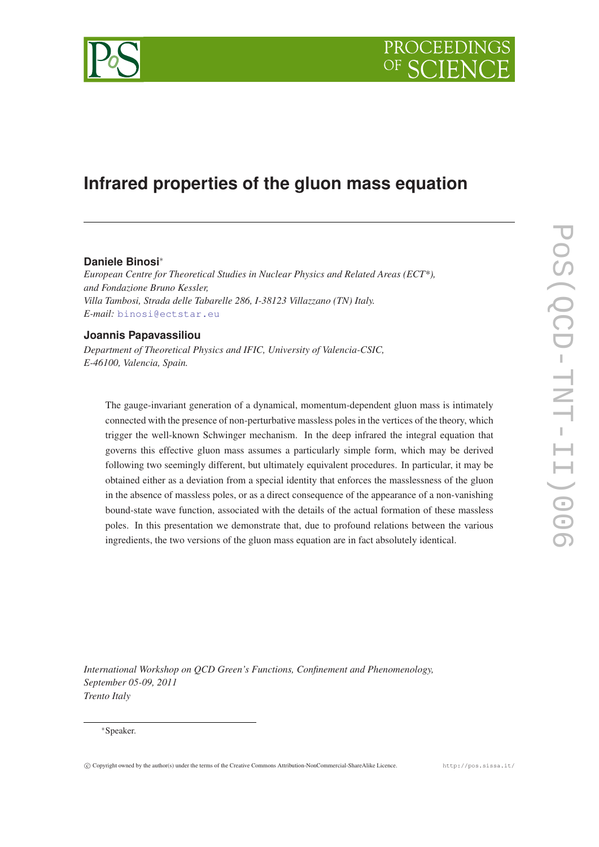

# **Infrared properties of the gluon mass equation**

## **Daniele Binosi**∗

*European Centre for Theoretical Studies in Nuclear Physics and Related Areas (ECT\*), and Fondazione Bruno Kessler, Villa Tambosi, Strada delle Tabarelle 286, I-38123 Villazzano (TN) Italy. E-mail:* [binosi@ectstar.eu](mailto:binosi@ectstar.eu)

## **Joannis Papavassiliou**

*Department of Theoretical Physics and IFIC, University of Valencia-CSIC, E-46100, Valencia, Spain.*

The gauge-invariant generation of a dynamical, momentum-dependent gluon mass is intimately connected with the presence of non-perturbative massless poles in the vertices of the theory, which trigger the well-known Schwinger mechanism. In the deep infrared the integral equation that governs this effective gluon mass assumes a particularly simple form, which may be derived following two seemingly different, but ultimately equivalent procedures. In particular, it may be obtained either as a deviation from a special identity that enforces the masslessness of the gluon in the absence of massless poles, or as a direct consequence of the appearance of a non-vanishing bound-state wave function, associated with the details of the actual formation of these massless poles. In this presentation we demonstrate that, due to profound relations between the various ingredients, the two versions of the gluon mass equation are in fact absolutely identical.

*International Workshop on QCD Green's Functions, Confinement and Phenomenology, September 05-09, 2011 Trento Italy*

#### ∗Speaker.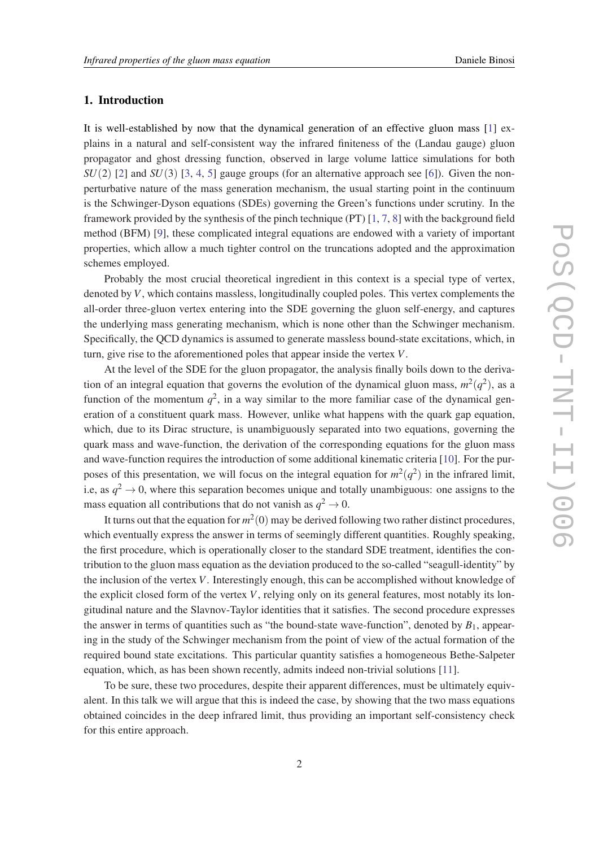## 1. Introduction

It is well-established by now that the dynamical generation of an effective gluon mass [[1](#page-11-0)] explains in a natural and self-consistent way the infrared finiteness of the (Landau gauge) gluon propagator and ghost dressing function, observed in large volume lattice simulations for both  $SU(2)$  $SU(2)$  $SU(2)$  [2] and  $SU(3)$  $SU(3)$  $SU(3)$  [3, [4](#page-11-0), [5\]](#page-11-0) gauge groups (for an alternative approach see [\[6](#page-11-0)]). Given the nonperturbative nature of the mass generation mechanism, the usual starting point in the continuum is the Schwinger-Dyson equations (SDEs) governing the Green's functions under scrutiny. In the framework provided by the synthesis of the pinch technique (PT) [\[1,](#page-11-0) [7](#page-11-0), [8\]](#page-11-0) with the background field method (BFM) [\[9\]](#page-11-0), these complicated integral equations are endowed with a variety of important properties, which allow a much tighter control on the truncations adopted and the approximation schemes employed.

Probably the most crucial theoretical ingredient in this context is a special type of vertex, denoted by *V*, which contains massless, longitudinally coupled poles. This vertex complements the all-order three-gluon vertex entering into the SDE governing the gluon self-energy, and captures the underlying mass generating mechanism, which is none other than the Schwinger mechanism. Specifically, the QCD dynamics is assumed to generate massless bound-state excitations, which, in turn, give rise to the aforementioned poles that appear inside the vertex *V*.

At the level of the SDE for the gluon propagator, the analysis finally boils down to the derivation of an integral equation that governs the evolution of the dynamical gluon mass,  $m^2(q^2)$ , as a function of the momentum  $q^2$ , in a way similar to the more familiar case of the dynamical generation of a constituent quark mass. However, unlike what happens with the quark gap equation, which, due to its Dirac structure, is unambiguously separated into two equations, governing the quark mass and wave-function, the derivation of the corresponding equations for the gluon mass and wave-function requires the introduction of some additional kinematic criteria [\[10](#page-11-0)]. For the purposes of this presentation, we will focus on the integral equation for  $m^2(q^2)$  in the infrared limit, i.e, as  $q^2 \to 0$ , where this separation becomes unique and totally unambiguous: one assigns to the mass equation all contributions that do not vanish as  $q^2 \to 0$ .

It turns out that the equation for  $m^2(0)$  may be derived following two rather distinct procedures, which eventually express the answer in terms of seemingly different quantities. Roughly speaking, the first procedure, which is operationally closer to the standard SDE treatment, identifies the contribution to the gluon mass equation as the deviation produced to the so-called "seagull-identity" by the inclusion of the vertex *V*. Interestingly enough, this can be accomplished without knowledge of the explicit closed form of the vertex  $V$ , relying only on its general features, most notably its longitudinal nature and the Slavnov-Taylor identities that it satisfies. The second procedure expresses the answer in terms of quantities such as "the bound-state wave-function", denoted by  $B_1$ , appearing in the study of the Schwinger mechanism from the point of view of the actual formation of the required bound state excitations. This particular quantity satisfies a homogeneous Bethe-Salpeter equation, which, as has been shown recently, admits indeed non-trivial solutions [[11\]](#page-11-0).

To be sure, these two procedures, despite their apparent differences, must be ultimately equivalent. In this talk we will argue that this is indeed the case, by showing that the two mass equations obtained coincides in the deep infrared limit, thus providing an important self-consistency check for this entire approach.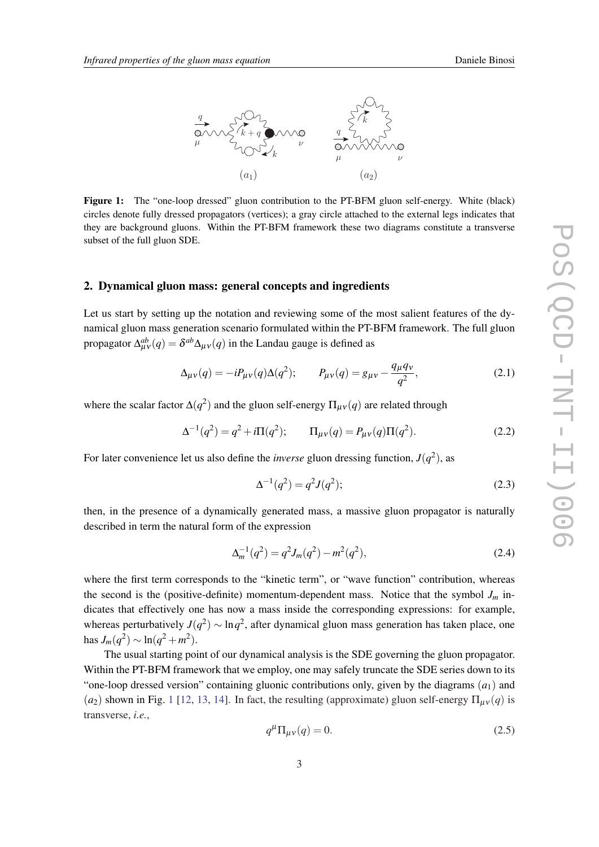<span id="page-2-0"></span>

Figure 1: The "one-loop dressed" gluon contribution to the PT-BFM gluon self-energy. White (black) circles denote fully dressed propagators (vertices); a gray circle attached to the external legs indicates that they are background gluons. Within the PT-BFM framework these two diagrams constitute a transverse subset of the full gluon SDE.

#### 2. Dynamical gluon mass: general concepts and ingredients

Let us start by setting up the notation and reviewing some of the most salient features of the dynamical gluon mass generation scenario formulated within the PT-BFM framework. The full gluon propagator  $\Delta_{\mu\nu}^{ab}(q) = \delta^{ab}\Delta_{\mu\nu}(q)$  in the Landau gauge is defined as

$$
\Delta_{\mu\nu}(q) = -i P_{\mu\nu}(q) \Delta(q^2); \qquad P_{\mu\nu}(q) = g_{\mu\nu} - \frac{q_{\mu} q_{\nu}}{q^2}, \tag{2.1}
$$

where the scalar factor  $\Delta(q^2)$  and the gluon self-energy  $\Pi_{\mu\nu}(q)$  are related through

$$
\Delta^{-1}(q^2) = q^2 + i\Pi(q^2); \qquad \Pi_{\mu\nu}(q) = P_{\mu\nu}(q)\Pi(q^2). \tag{2.2}
$$

For later convenience let us also define the *inverse* gluon dressing function,  $J(q^2)$ , as

$$
\Delta^{-1}(q^2) = q^2 J(q^2); \tag{2.3}
$$

then, in the presence of a dynamically generated mass, a massive gluon propagator is naturally described in term the natural form of the expression

$$
\Delta_m^{-1}(q^2) = q^2 J_m(q^2) - m^2(q^2), \qquad (2.4)
$$

where the first term corresponds to the "kinetic term", or "wave function" contribution, whereas the second is the (positive-definite) momentum-dependent mass. Notice that the symbol  $J_m$  indicates that effectively one has now a mass inside the corresponding expressions: for example, whereas perturbatively  $J(q^2) \sim \ln q^2$ , after dynamical gluon mass generation has taken place, one has  $J_m(q^2) \sim \ln(q^2 + m^2)$ .

The usual starting point of our dynamical analysis is the SDE governing the gluon propagator. Within the PT-BFM framework that we employ, one may safely truncate the SDE series down to its "one-loop dressed version" containing gluonic contributions only, given by the diagrams  $(a_1)$  and  $(a_2)$  shown in Fig. 1 [\[12](#page-11-0), [13,](#page-11-0) [14](#page-11-0)]. In fact, the resulting (approximate) gluon self-energy  $\Pi_{\mu\nu}(q)$  is transverse, *i.e.*,

$$
q^{\mu} \Pi_{\mu\nu}(q) = 0. \tag{2.5}
$$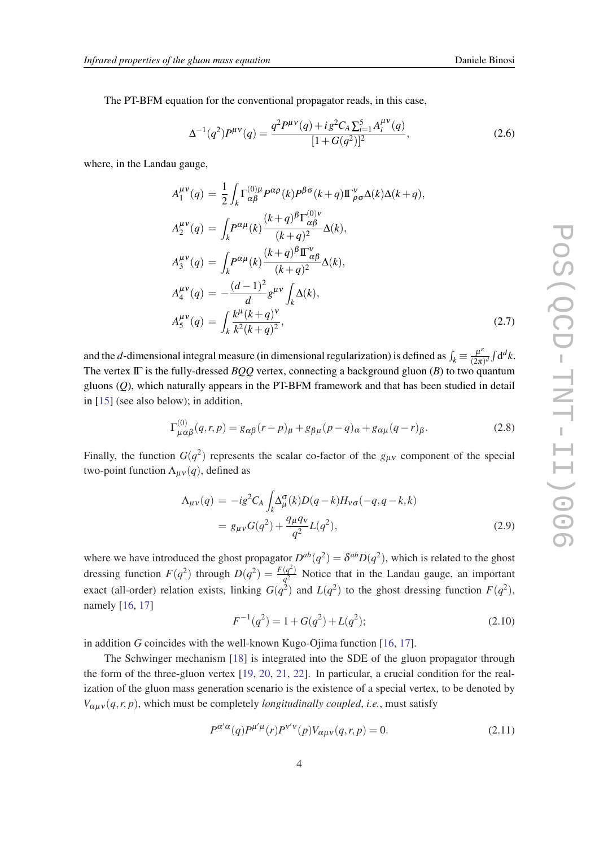<span id="page-3-0"></span>The PT-BFM equation for the conventional propagator reads, in this case,

$$
\Delta^{-1}(q^2)P^{\mu\nu}(q) = \frac{q^2 P^{\mu\nu}(q) + ig^2 C_A \sum_{i=1}^5 A_i^{\mu\nu}(q)}{[1 + G(q^2)]^2},\tag{2.6}
$$

where, in the Landau gauge,

$$
A_1^{\mu\nu}(q) = \frac{1}{2} \int_k \Gamma_{\alpha\beta}^{(0)\mu} P^{\alpha\rho}(k) P^{\beta\sigma}(k+q) \Pi_{\rho\sigma}^{\nu} \Delta(k) \Delta(k+q),
$$
  
\n
$$
A_2^{\mu\nu}(q) = \int_k P^{\alpha\mu}(k) \frac{(k+q)^{\beta} \Gamma_{\alpha\beta}^{(0)\nu}}{(k+q)^2} \Delta(k),
$$
  
\n
$$
A_3^{\mu\nu}(q) = \int_k P^{\alpha\mu}(k) \frac{(k+q)^{\beta} \Pi_{\alpha\beta}^{\nu}}{(k+q)^2} \Delta(k),
$$
  
\n
$$
A_4^{\mu\nu}(q) = -\frac{(d-1)^2}{d} g^{\mu\nu} \int_k \Delta(k),
$$
  
\n
$$
A_5^{\mu\nu}(q) = \int_k \frac{k^{\mu}(k+q)^{\nu}}{k^2(k+q)^2},
$$
\n(2.7)

and the *d*-dimensional integral measure (in dimensional regularization) is defined as  $\int_k \equiv \frac{\mu^k}{(2\pi)^k}$  $\frac{\mu^{\epsilon}}{(2\pi)^d} \int d^d k.$ The vertex IΓ is the fully-dressed *BQQ* vertex, connecting a background gluon (*B*) to two quantum gluons (*Q*), which naturally appears in the PT-BFM framework and that has been studied in detail in [\[15](#page-11-0)] (see also below); in addition,

$$
\Gamma_{\mu\alpha\beta}^{(0)}(q,r,p) = g_{\alpha\beta}(r-p)_{\mu} + g_{\beta\mu}(p-q)_{\alpha} + g_{\alpha\mu}(q-r)_{\beta}.
$$
 (2.8)

Finally, the function  $G(q^2)$  represents the scalar co-factor of the  $g_{\mu\nu}$  component of the special two-point function  $\Lambda_{\mu\nu}(q)$ , defined as

$$
\Lambda_{\mu\nu}(q) = -ig^2 C_A \int_k \Delta_{\mu}^{\sigma}(k) D(q-k) H_{\nu\sigma}(-q, q-k, k)
$$
  
=  $g_{\mu\nu} G(q^2) + \frac{q_{\mu} q_{\nu}}{q^2} L(q^2),$  (2.9)

where we have introduced the ghost propagator  $D^{ab}(q^2) = \delta^{ab}D(q^2)$ , which is related to the ghost dressing function  $F(q^2)$  through  $D(q^2) = \frac{F(q^2)}{q^2}$  $\frac{(q)}{q^2}$  Notice that in the Landau gauge, an important exact (all-order) relation exists, linking  $G(q^2)$  and  $L(q^2)$  to the ghost dressing function  $F(q^2)$ , namely [[16,](#page-11-0) [17](#page-11-0)]

$$
F^{-1}(q^2) = 1 + G(q^2) + L(q^2); \tag{2.10}
$$

in addition *G* coincides with the well-known Kugo-Ojima function [[16,](#page-11-0) [17](#page-11-0)].

The Schwinger mechanism [\[18](#page-11-0)] is integrated into the SDE of the gluon propagator through the form of the three-gluon vertex [[19,](#page-11-0) [20,](#page-11-0) [21,](#page-11-0) [22](#page-11-0)]. In particular, a crucial condition for the realization of the gluon mass generation scenario is the existence of a special vertex, to be denoted by  $V_{\alpha\mu\nu}(q, r, p)$ , which must be completely *longitudinally coupled*, *i.e.*, must satisfy

$$
P^{\alpha'\alpha}(q)P^{\mu'\mu}(r)P^{\nu'\nu}(p)V_{\alpha\mu\nu}(q,r,p) = 0.
$$
\n(2.11)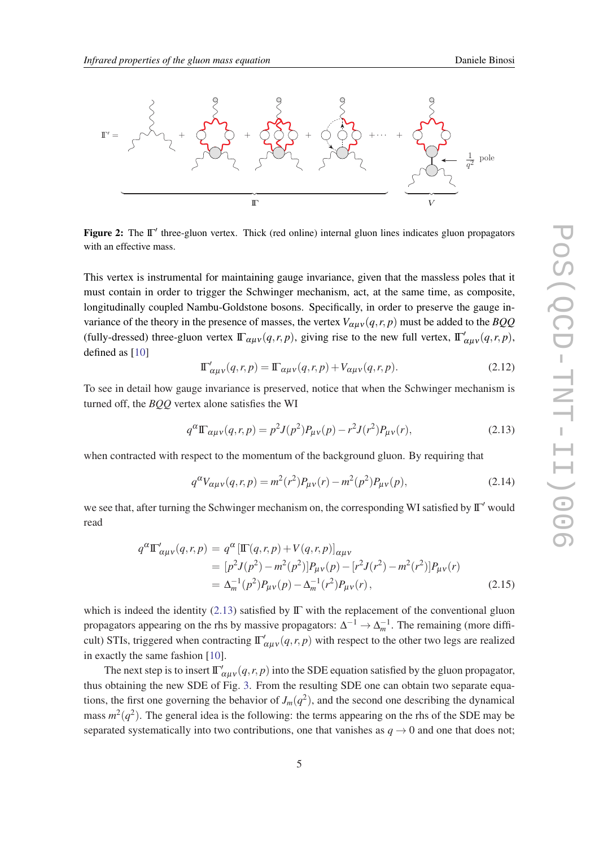<span id="page-4-0"></span>

**Figure 2:** The Π' three-gluon vertex. Thick (red online) internal gluon lines indicates gluon propagators with an effective mass.

This vertex is instrumental for maintaining gauge invariance, given that the massless poles that it must contain in order to trigger the Schwinger mechanism, act, at the same time, as composite, longitudinally coupled Nambu-Goldstone bosons. Specifically, in order to preserve the gauge invariance of the theory in the presence of masses, the vertex  $V_{\alpha\mu\nu}(q, r, p)$  must be added to the *BQQ* (fully-dressed) three-gluon vertex  $\Gamma_{\alpha\mu\nu}(q,r,p)$ , giving rise to the new full vertex,  $\Gamma'_{\alpha\mu\nu}(q,r,p)$ , defined as [[10\]](#page-11-0)

$$
\Pi'_{\alpha\mu\nu}(q,r,p) = \Pi_{\alpha\mu\nu}(q,r,p) + V_{\alpha\mu\nu}(q,r,p). \tag{2.12}
$$

To see in detail how gauge invariance is preserved, notice that when the Schwinger mechanism is turned off, the *BQQ* vertex alone satisfies the WI

$$
q^{\alpha} \mathbb{\Gamma}_{\alpha\mu\nu}(q,r,p) = p^2 J(p^2) P_{\mu\nu}(p) - r^2 J(r^2) P_{\mu\nu}(r), \qquad (2.13)
$$

when contracted with respect to the momentum of the background gluon. By requiring that

$$
q^{\alpha}V_{\alpha\mu\nu}(q,r,p) = m^2(r^2)P_{\mu\nu}(r) - m^2(p^2)P_{\mu\nu}(p),
$$
\n(2.14)

we see that, after turning the Schwinger mechanism on, the corresponding WI satisfied by  $\mathbb{\Gamma}'$  would read

$$
q^{\alpha} \Pi'_{\alpha\mu\nu}(q,r,p) = q^{\alpha} \left[\Pi(q,r,p) + V(q,r,p)\right]_{\alpha\mu\nu}
$$
  
= 
$$
[p^2 J(p^2) - m^2(p^2)] P_{\mu\nu}(p) - [r^2 J(r^2) - m^2(r^2)] P_{\mu\nu}(r)
$$
  
= 
$$
\Delta_m^{-1}(p^2) P_{\mu\nu}(p) - \Delta_m^{-1}(r^2) P_{\mu\nu}(r),
$$
 (2.15)

which is indeed the identity (2.13) satisfied by  $\Gamma$  with the replacement of the conventional gluon propagators appearing on the rhs by massive propagators:  $\Delta^{-1} \to \Delta_m^{-1}$ . The remaining (more difficult) STIs, triggered when contracting  $\frac{\Gamma'_{\alpha\mu\nu}}{q,r,p}$  with respect to the other two legs are realized in exactly the same fashion [\[10](#page-11-0)].

The next step is to insert  $\Gamma'_{\alpha\mu\nu}(q,r,p)$  into the SDE equation satisfied by the gluon propagator, thus obtaining the new SDE of Fig. [3.](#page-5-0) From the resulting SDE one can obtain two separate equations, the first one governing the behavior of  $J_m(q^2)$ , and the second one describing the dynamical mass  $m^2(q^2)$ . The general idea is the following: the terms appearing on the rhs of the SDE may be separated systematically into two contributions, one that vanishes as  $q \rightarrow 0$  and one that does not;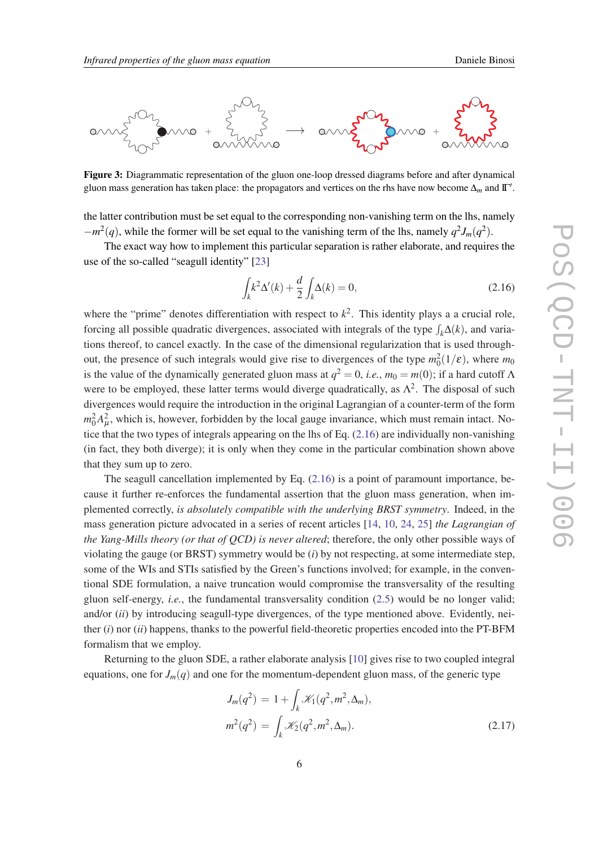<span id="page-5-0"></span>

Figure 3: Diagrammatic representation of the gluon one-loop dressed diagrams before and after dynamical gluon mass generation has taken place: the propagators and vertices on the rhs have now become  $\Delta_m$  and  $\Gamma'.$ 

the latter contribution must be set equal to the corresponding non-vanishing term on the lhs, namely  $-m^2(q)$ , while the former will be set equal to the vanishing term of the lhs, namely  $q^2 J_m(q^2)$ .

The exact way how to implement this particular separation is rather elaborate, and requires the use of the so-called "seagull identity" [[23\]](#page-11-0)

$$
\int_{k} k^{2} \Delta'(k) + \frac{d}{2} \int_{k} \Delta(k) = 0,
$$
\n(2.16)

where the "prime" denotes differentiation with respect to  $k^2$ . This identity plays a a crucial role, forcing all possible quadratic divergences, associated with integrals of the type  $\int_k \Delta(k)$ , and variations thereof, to cancel exactly. In the case of the dimensional regularization that is used throughout, the presence of such integrals would give rise to divergences of the type  $m_0^2(1/\varepsilon)$ , where  $m_0$ is the value of the dynamically generated gluon mass at  $q^2 = 0$ , *i.e.*,  $m_0 = m(0)$ ; if a hard cutoff  $\Lambda$ were to be employed, these latter terms would diverge quadratically, as  $\Lambda^2$ . The disposal of such divergences would require the introduction in the original Lagrangian of a counter-term of the form  $m_0^2 A_\mu^2$ , which is, however, forbidden by the local gauge invariance, which must remain intact. Notice that the two types of integrals appearing on the lhs of Eq. (2.16) are individually non-vanishing (in fact, they both diverge); it is only when they come in the particular combination shown above that they sum up to zero.

The seagull cancellation implemented by Eq. (2.16) is a point of paramount importance, because it further re-enforces the fundamental assertion that the gluon mass generation, when implemented correctly, *is absolutely compatible with the underlying BRST symmetry*. Indeed, in the mass generation picture advocated in a series of recent articles [\[14](#page-11-0), [10,](#page-11-0) [24](#page-11-0), [25](#page-11-0)] *the Lagrangian of the Yang-Mills theory (or that of QCD) is never altered*; therefore, the only other possible ways of violating the gauge (or BRST) symmetry would be (*i*) by not respecting, at some intermediate step, some of the WIs and STIs satisfied by the Green's functions involved; for example, in the conventional SDE formulation, a naive truncation would compromise the transversality of the resulting gluon self-energy, *i.e.*, the fundamental transversality condition [\(2.5\)](#page-2-0) would be no longer valid; and/or (*ii*) by introducing seagull-type divergences, of the type mentioned above. Evidently, neither (*i*) nor (*ii*) happens, thanks to the powerful field-theoretic properties encoded into the PT-BFM formalism that we employ.

Returning to the gluon SDE, a rather elaborate analysis [[10](#page-11-0)] gives rise to two coupled integral equations, one for  $J_m(q)$  and one for the momentum-dependent gluon mass, of the generic type

$$
J_m(q^2) = 1 + \int_k \mathcal{K}_1(q^2, m^2, \Delta_m),
$$
  

$$
m^2(q^2) = \int_k \mathcal{K}_2(q^2, m^2, \Delta_m).
$$
 (2.17)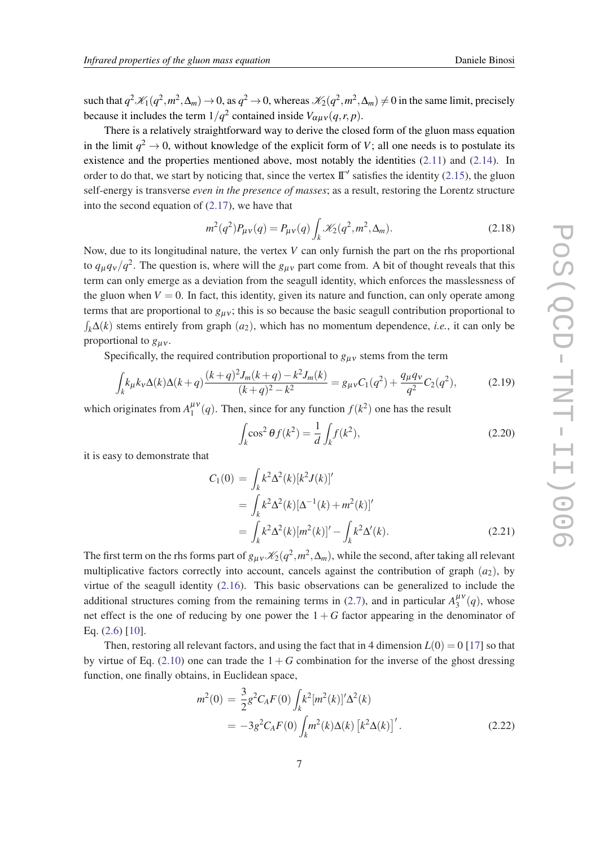<span id="page-6-0"></span>such that  $q^2\mathcal{K}_1(q^2,m^2,\Delta_m)\to 0$ , as  $q^2\to 0$ , whereas  $\mathcal{K}_2(q^2,m^2,\Delta_m)\neq 0$  in the same limit, precisely because it includes the term  $1/q^2$  contained inside  $V_{\alpha\mu\nu}(q,r,p)$ .

There is a relatively straightforward way to derive the closed form of the gluon mass equation in the limit  $q^2 \to 0$ , without knowledge of the explicit form of *V*; all one needs is to postulate its existence and the properties mentioned above, most notably the identities ([2.11\)](#page-3-0) and ([2.14\)](#page-4-0). In order to do that, we start by noticing that, since the vertex  $\mathbb{T}'$  satisfies the identity [\(2.15](#page-4-0)), the gluon self-energy is transverse *even in the presence of masses*; as a result, restoring the Lorentz structure into the second equation of ([2.17\)](#page-5-0), we have that

$$
m^{2}(q^{2})P_{\mu\nu}(q) = P_{\mu\nu}(q) \int_{k} \mathcal{K}_{2}(q^{2}, m^{2}, \Delta_{m}). \qquad (2.18)
$$

Now, due to its longitudinal nature, the vertex *V* can only furnish the part on the rhs proportional to  $q_{\mu}q_{\nu}/q^2$ . The question is, where will the  $g_{\mu\nu}$  part come from. A bit of thought reveals that this term can only emerge as a deviation from the seagull identity, which enforces the masslessness of the gluon when  $V = 0$ . In fact, this identity, given its nature and function, can only operate among terms that are proportional to  $g_{\mu\nu}$ ; this is so because the basic seagull contribution proportional to  $\int_k \Delta(k)$  stems entirely from graph  $(a_2)$ , which has no momentum dependence, *i.e.*, it can only be proportional to  $g_{\mu\nu}$ .

Specifically, the required contribution proportional to  $g_{\mu\nu}$  stems from the term

$$
\int_{k} k_{\mu} k_{\nu} \Delta(k) \Delta(k+q) \frac{(k+q)^{2} J_{m}(k+q) - k^{2} J_{m}(k)}{(k+q)^{2} - k^{2}} = g_{\mu\nu} C_{1}(q^{2}) + \frac{q_{\mu} q_{\nu}}{q^{2}} C_{2}(q^{2}),
$$
\n(2.19)

which originates from  $A_1^{\mu\nu}$  $\frac{\mu v}{1}(q)$ . Then, since for any function  $f(k^2)$  one has the result

$$
\int_{k} \cos^{2} \theta f(k^{2}) = \frac{1}{d} \int_{k} f(k^{2}),
$$
\n(2.20)

it is easy to demonstrate that

$$
C_1(0) = \int_k k^2 \Delta^2(k) [k^2 J(k)]'
$$
  
= 
$$
\int_k k^2 \Delta^2(k) [\Delta^{-1}(k) + m^2(k)]'
$$
  
= 
$$
\int_k k^2 \Delta^2(k) [m^2(k)]' - \int_k k^2 \Delta'(k).
$$
 (2.21)

The first term on the rhs forms part of  $g_{\mu\nu}$   $\mathcal{K}_2(q^2, m^2, \Delta_m)$ , while the second, after taking all relevant multiplicative factors correctly into account, cancels against the contribution of graph  $(a_2)$ , by virtue of the seagull identity  $(2.16)$  $(2.16)$ . This basic observations can be generalized to include the additional structures coming from the remaining terms in ([2.7](#page-3-0)), and in particular  $A_3^{\mu\nu}$  $\frac{\mu v}{3}(q)$ , whose net effect is the one of reducing by one power the  $1 + G$  factor appearing in the denominator of Eq. ([2.6](#page-3-0)) [\[10](#page-11-0)].

Then, restoring all relevant factors, and using the fact that in 4 dimension  $L(0) = 0$  [\[17](#page-11-0)] so that by virtue of Eq.  $(2.10)$  $(2.10)$  one can trade the  $1 + G$  combination for the inverse of the ghost dressing function, one finally obtains, in Euclidean space,

$$
m^{2}(0) = \frac{3}{2}g^{2}C_{A}F(0)\int_{k}k^{2}[m^{2}(k)]'\Delta^{2}(k)
$$
  
= 
$$
-3g^{2}C_{A}F(0)\int_{k}m^{2}(k)\Delta(k)[k^{2}\Delta(k)]'.
$$
 (2.22)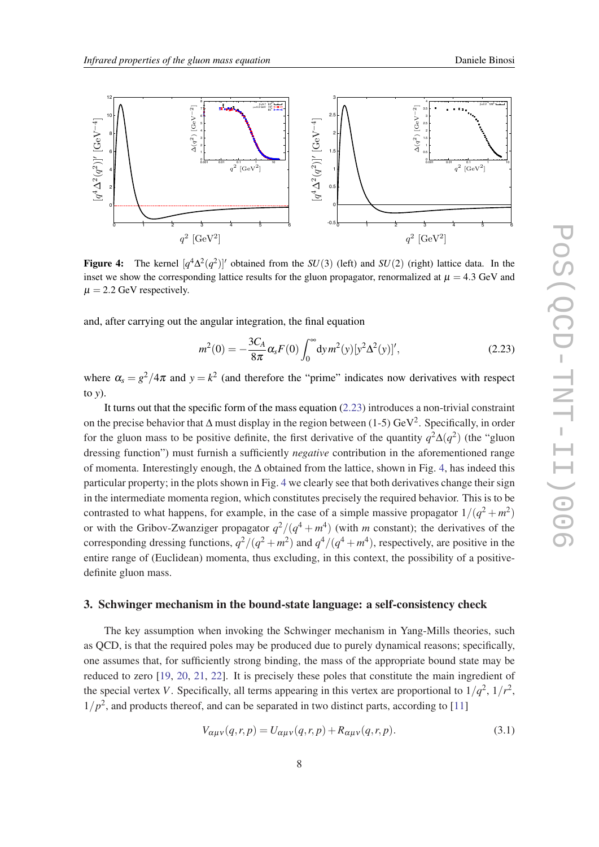

Figure 4: The kernel  $[q^4\Delta^2(q^2)]'$  obtained from the *SU*(3) (left) and *SU*(2) (right) lattice data. In the inset we show the corresponding lattice results for the gluon propagator, renormalized at  $\mu = 4.3$  GeV and  $\mu = 2.2$  GeV respectively.

and, after carrying out the angular integration, the final equation

$$
m^{2}(0) = -\frac{3C_{A}}{8\pi} \alpha_{s} F(0) \int_{0}^{\infty} dy m^{2}(y) [y^{2} \Delta^{2}(y)]', \qquad (2.23)
$$

where  $\alpha_s = g^2/4\pi$  and  $y = k^2$  (and therefore the "prime" indicates now derivatives with respect to *y*).

It turns out that the specific form of the mass equation (2.23) introduces a non-trivial constraint on the precise behavior that  $\Delta$  must display in the region between (1-5) GeV<sup>2</sup>. Specifically, in order for the gluon mass to be positive definite, the first derivative of the quantity  $q^2\Delta(q^2)$  (the "gluon" dressing function") must furnish a sufficiently *negative* contribution in the aforementioned range of momenta. Interestingly enough, the ∆ obtained from the lattice, shown in Fig. 4, has indeed this particular property; in the plots shown in Fig. 4 we clearly see that both derivatives change their sign in the intermediate momenta region, which constitutes precisely the required behavior. This is to be contrasted to what happens, for example, in the case of a simple massive propagator  $1/(q^2 + m^2)$ or with the Gribov-Zwanziger propagator  $q^2/(q^4 + m^4)$  (with *m* constant); the derivatives of the corresponding dressing functions,  $q^2/(q^2 + m^2)$  and  $q^4/(q^4 + m^4)$ , respectively, are positive in the entire range of (Euclidean) momenta, thus excluding, in this context, the possibility of a positivedefinite gluon mass.

## 3. Schwinger mechanism in the bound-state language: a self-consistency check

The key assumption when invoking the Schwinger mechanism in Yang-Mills theories, such as QCD, is that the required poles may be produced due to purely dynamical reasons; specifically, one assumes that, for sufficiently strong binding, the mass of the appropriate bound state may be reduced to zero [[19,](#page-11-0) [20,](#page-11-0) [21,](#page-11-0) [22\]](#page-11-0). It is precisely these poles that constitute the main ingredient of the special vertex *V*. Specifically, all terms appearing in this vertex are proportional to  $1/q^2$ ,  $1/r^2$ ,  $1/p<sup>2</sup>$ , and products thereof, and can be separated in two distinct parts, according to [\[11](#page-11-0)]

$$
V_{\alpha\mu\nu}(q,r,p) = U_{\alpha\mu\nu}(q,r,p) + R_{\alpha\mu\nu}(q,r,p). \tag{3.1}
$$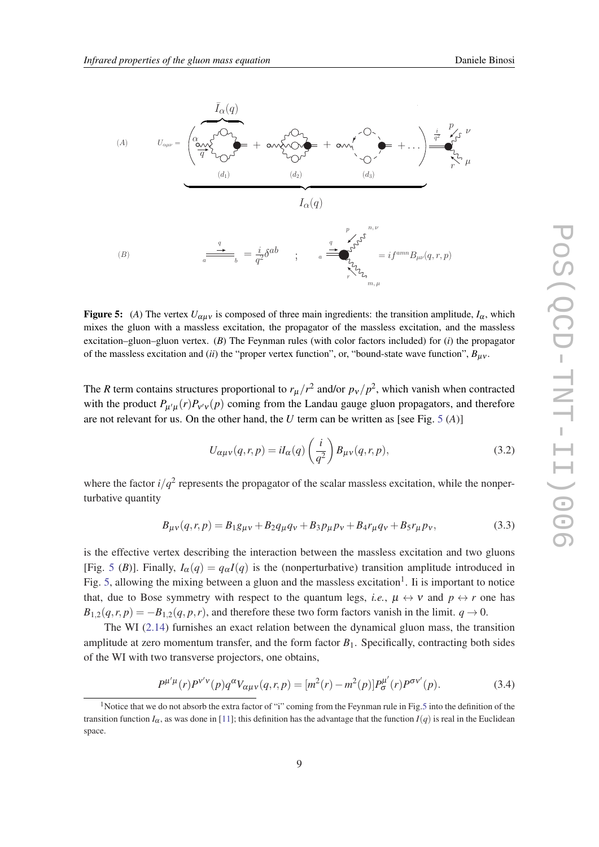<span id="page-8-0"></span>

**Figure 5:** (*A*) The vertex  $U_{\alpha\mu\nu}$  is composed of three main ingredients: the transition amplitude,  $I_{\alpha}$ , which mixes the gluon with a massless excitation, the propagator of the massless excitation, and the massless excitation–gluon–gluon vertex. (*B*) The Feynman rules (with color factors included) for (*i*) the propagator of the massless excitation and (*ii*) the "proper vertex function", or, "bound-state wave function", *B*µν .

The *R* term contains structures proportional to  $r_{\mu}/r^2$  and/or  $p_{\nu}/p^2$ , which vanish when contracted with the product  $P_{\mu'\mu}(r)P_{\nu'\nu}(p)$  coming from the Landau gauge gluon propagators, and therefore are not relevant for us. On the other hand, the *U* term can be written as [see Fig. 5  $(A)$ ]

$$
U_{\alpha\mu\nu}(q,r,p) = iI_{\alpha}(q) \left(\frac{i}{q^2}\right) B_{\mu\nu}(q,r,p),\tag{3.2}
$$

where the factor  $i/q^2$  represents the propagator of the scalar massless excitation, while the nonperturbative quantity

$$
B_{\mu\nu}(q,r,p) = B_1 g_{\mu\nu} + B_2 q_{\mu} q_{\nu} + B_3 p_{\mu} p_{\nu} + B_4 r_{\mu} q_{\nu} + B_5 r_{\mu} p_{\nu},
$$
(3.3)

is the effective vertex describing the interaction between the massless excitation and two gluons [Fig. 5 (*B*)]. Finally,  $I_{\alpha}(q) = q_{\alpha}I(q)$  is the (nonperturbative) transition amplitude introduced in Fig. 5, allowing the mixing between a gluon and the massless excitation<sup>1</sup>. Ii is important to notice that, due to Bose symmetry with respect to the quantum legs, *i.e.*,  $\mu \leftrightarrow \nu$  and  $p \leftrightarrow r$  one has  $B_{1,2}(q, r, p) = -B_{1,2}(q, p, r)$ , and therefore these two form factors vanish in the limit.  $q \to 0$ .

The WI [\(2.14](#page-4-0)) furnishes an exact relation between the dynamical gluon mass, the transition amplitude at zero momentum transfer, and the form factor  $B_1$ . Specifically, contracting both sides of the WI with two transverse projectors, one obtains,

$$
P^{\mu'\mu}(r)P^{\nu'\nu}(p)q^{\alpha}V_{\alpha\mu\nu}(q,r,p) = [m^2(r) - m^2(p)]P^{\mu'}_{\sigma}(r)P^{\sigma\nu'}(p). \tag{3.4}
$$

<sup>&</sup>lt;sup>1</sup>Notice that we do not absorb the extra factor of "i" coming from the Feynman rule in Fig.5 into the definition of the transition function  $I_\alpha$ , as was done in [\[11](#page-11-0)]; this definition has the advantage that the function  $I(q)$  is real in the Euclidean space.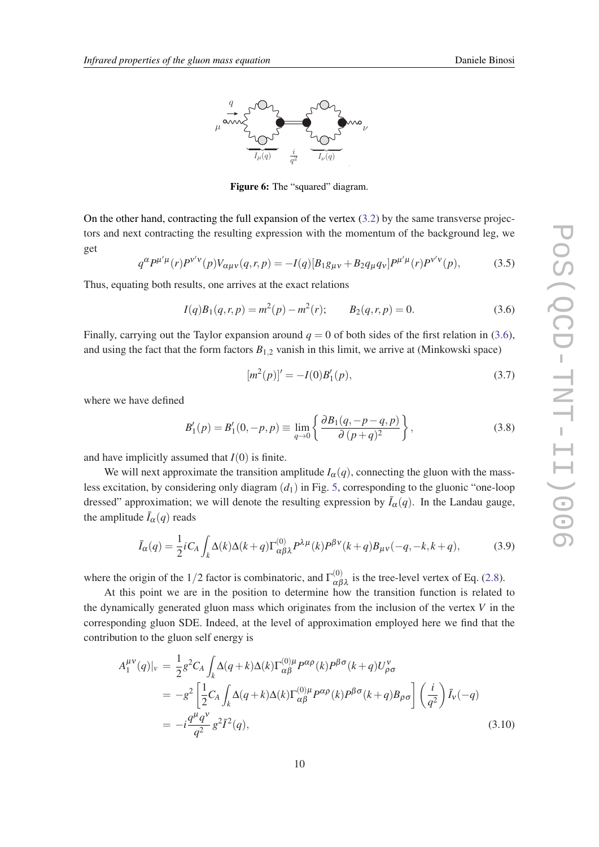<span id="page-9-0"></span>

Figure 6: The "squared" diagram.

On the other hand, contracting the full expansion of the vertex  $(3.2)$  $(3.2)$  by the same transverse projectors and next contracting the resulting expression with the momentum of the background leg, we get

$$
q^{\alpha}P^{\mu'\mu}(r)P^{\nu'\nu}(p)V_{\alpha\mu\nu}(q,r,p) = -I(q)[B_1g_{\mu\nu} + B_2q_{\mu}q_{\nu}]P^{\mu'\mu}(r)P^{\nu'\nu}(p), \qquad (3.5)
$$

Thus, equating both results, one arrives at the exact relations

$$
I(q)B_1(q,r,p) = m^2(p) - m^2(r); \qquad B_2(q,r,p) = 0.
$$
 (3.6)

Finally, carrying out the Taylor expansion around  $q = 0$  of both sides of the first relation in (3.6), and using the fact that the form factors  $B_{1,2}$  vanish in this limit, we arrive at (Minkowski space)

$$
[m^2(p)]' = -I(0)B'_1(p),\tag{3.7}
$$

where we have defined

$$
B'_1(p) = B'_1(0, -p, p) \equiv \lim_{q \to 0} \left\{ \frac{\partial B_1(q, -p-q, p)}{\partial (p+q)^2} \right\},\tag{3.8}
$$

and have implicitly assumed that  $I(0)$  is finite.

We will next approximate the transition amplitude  $I_\alpha(q)$ , connecting the gluon with the massless excitation, by considering only diagram (*d*1) in Fig. [5](#page-8-0), corresponding to the gluonic "one-loop dressed" approximation; we will denote the resulting expression by  $\bar{I}_{\alpha}(q)$ . In the Landau gauge, the amplitude  $\bar{I}_{\alpha}(q)$  reads

$$
\bar{I}_{\alpha}(q) = \frac{1}{2}iC_A \int_k \Delta(k)\Delta(k+q)\Gamma_{\alpha\beta\lambda}^{(0)} P^{\lambda\mu}(k)P^{\beta\nu}(k+q)B_{\mu\nu}(-q,-k,k+q),\tag{3.9}
$$

where the origin of the 1/2 factor is combinatoric, and  $\Gamma_{\alpha\beta\lambda}^{(0)}$  is the tree-level vertex of Eq. ([2.8](#page-3-0)).

At this point we are in the position to determine how the transition function is related to the dynamically generated gluon mass which originates from the inclusion of the vertex *V* in the corresponding gluon SDE. Indeed, at the level of approximation employed here we find that the contribution to the gluon self energy is

$$
A_1^{\mu\nu}(q)|_v = \frac{1}{2}g^2 C_A \int_k \Delta(q+k)\Delta(k)\Gamma_{\alpha\beta}^{(0)\mu} P^{\alpha\rho}(k)P^{\beta\sigma}(k+q)U_{\rho\sigma}^{\nu}
$$
  
\n
$$
= -g^2 \left[\frac{1}{2}C_A \int_k \Delta(q+k)\Delta(k)\Gamma_{\alpha\beta}^{(0)\mu} P^{\alpha\rho}(k)P^{\beta\sigma}(k+q)B_{\rho\sigma}\right] \left(\frac{i}{q^2}\right)\overline{I}_v(-q)
$$
  
\n
$$
= -i\frac{q^{\mu}q^{\nu}}{q^2}g^2\overline{I}^2(q),
$$
\n(3.10)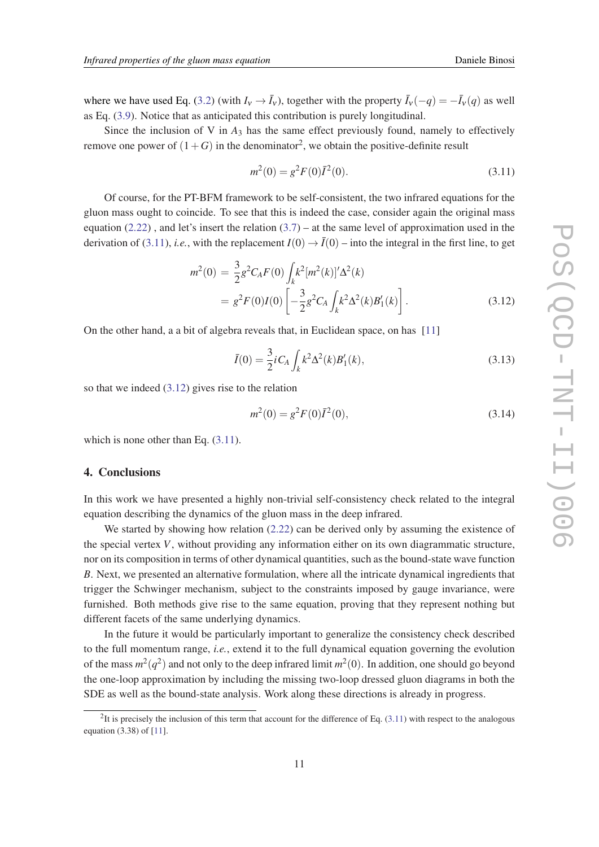where we have used Eq. [\(3.2\)](#page-8-0) (with  $I_v \to \bar{I}_v$ ), together with the property  $\bar{I}_v(-q) = -\bar{I}_v(q)$  as well as Eq. [\(3.9\)](#page-9-0). Notice that as anticipated this contribution is purely longitudinal.

Since the inclusion of V in  $A_3$  has the same effect previously found, namely to effectively remove one power of  $(1+G)$  in the denominator<sup>2</sup>, we obtain the positive-definite result

$$
m^2(0) = g^2 F(0) \bar{I}^2(0).
$$
\n(3.11)

Of course, for the PT-BFM framework to be self-consistent, the two infrared equations for the gluon mass ought to coincide. To see that this is indeed the case, consider again the original mass equation [\(2.22\)](#page-6-0), and let's insert the relation  $(3.7)$  $(3.7)$  $(3.7)$  – at the same level of approximation used in the derivation of (3.11), *i.e.*, with the replacement  $I(0) \rightarrow \overline{I}(0)$  – into the integral in the first line, to get

$$
m^{2}(0) = \frac{3}{2}g^{2}C_{A}F(0)\int_{k}k^{2}[m^{2}(k)]'\Delta^{2}(k)
$$
  
=  $g^{2}F(0)I(0)\left[-\frac{3}{2}g^{2}C_{A}\int_{k}k^{2}\Delta^{2}(k)B'_{1}(k)\right].$  (3.12)

On the other hand, a a bit of algebra reveals that, in Euclidean space, on has [[11\]](#page-11-0)

$$
\bar{I}(0) = \frac{3}{2}iC_A \int_k k^2 \Delta^2(k) B_1'(k), \qquad (3.13)
$$

so that we indeed (3.12) gives rise to the relation

$$
m^2(0) = g^2 F(0) \bar{I}^2(0), \tag{3.14}
$$

which is none other than Eq.  $(3.11)$ .

#### 4. Conclusions

In this work we have presented a highly non-trivial self-consistency check related to the integral equation describing the dynamics of the gluon mass in the deep infrared.

We started by showing how relation  $(2.22)$  $(2.22)$  can be derived only by assuming the existence of the special vertex *V*, without providing any information either on its own diagrammatic structure, nor on its composition in terms of other dynamical quantities, such as the bound-state wave function *B*. Next, we presented an alternative formulation, where all the intricate dynamical ingredients that trigger the Schwinger mechanism, subject to the constraints imposed by gauge invariance, were furnished. Both methods give rise to the same equation, proving that they represent nothing but different facets of the same underlying dynamics.

In the future it would be particularly important to generalize the consistency check described to the full momentum range, *i.e.*, extend it to the full dynamical equation governing the evolution of the mass  $m^2(q^2)$  and not only to the deep infrared limit  $m^2(0)$ . In addition, one should go beyond the one-loop approximation by including the missing two-loop dressed gluon diagrams in both the SDE as well as the bound-state analysis. Work along these directions is already in progress.

 ${}^{2}$ It is precisely the inclusion of this term that account for the difference of Eq. (3.11) with respect to the analogous equation (3.38) of [\[11](#page-11-0)].